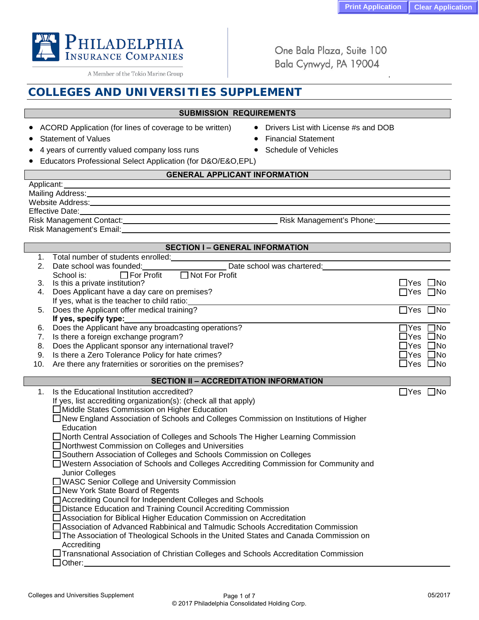05/2017

.

One Bala Plaza, Suite 100 Bala Cynwyd, PA 19004

# **COLLEGES AND UNIVERSITIES SUPPLEMENT**

# **SUBMISSION REQUIREMENTS**

- ACORD Application (for lines of coverage to be written) Drivers List with License #s and DOB
- **Statement of Values Financial Statement of Values**
- 4 years of currently valued company loss runs Schedule of Vehicles
- Educators Professional Select Application (for D&O/E&O,EPL)

Colleges and Universities Supplement **Page 1 of 7** Page 1 of 7

# **GENERAL APPLICANT INFORMATION**

**SECTION I – GENERAL INFORMATION**

| Applicant:       |  |
|------------------|--|
| Mailing Address: |  |
| Website Address: |  |
| Effective Date:  |  |
|                  |  |

Risk Management Contact: **Risk Management's Phone:** Risk Management's Phone: Risk Management's Email:

| 1.             | Total number of students enrolled:                                                                       |                         |
|----------------|----------------------------------------------------------------------------------------------------------|-------------------------|
| 2.             | Date school was founded:                                                                                 |                         |
|                | □ Not For Profit<br>School is:<br>$\Box$ For Profit                                                      |                         |
| 3.             | Is this a private institution?                                                                           | $\Box$ Yes $\Box$ No    |
| 4.             | Does Applicant have a day care on premises?                                                              | $\Box$ Yes $\Box$ No    |
|                | If yes, what is the teacher to child ratio:                                                              |                         |
| 5.             | Does the Applicant offer medical training?                                                               | $\Box$ Yes $\Box$ No    |
|                | If yes, specify type:                                                                                    |                         |
| 6.             | Does the Applicant have any broadcasting operations?                                                     | ]Yes □No                |
| 7.             | Is there a foreign exchange program?                                                                     | ]Yes □No                |
| 8.             | Does the Applicant sponsor any international travel?                                                     | ]Yes □No                |
| 9.             | Is there a Zero Tolerance Policy for hate crimes?                                                        | $\exists$ Yes $\Box$ No |
| 10.            | Are there any fraternities or sororities on the premises?                                                | $\Box$ Yes $\Box$ No    |
|                |                                                                                                          |                         |
|                | <b>SECTION II - ACCREDITATION INFORMATION</b>                                                            |                         |
| 1 <sub>1</sub> | Is the Educational Institution accredited?                                                               | $\Box$ Yes $\Box$ No    |
|                | If yes, list accrediting organization(s): (check all that apply)                                         |                         |
|                | □ Middle States Commission on Higher Education                                                           |                         |
|                | $\Box$ New England Association of Schools and Colleges Commission on Institutions of Higher<br>Education |                         |
|                | □ North Central Association of Colleges and Schools The Higher Learning Commission                       |                         |
|                | □ Northwest Commission on Colleges and Universities                                                      |                         |
|                | □ Southern Association of Colleges and Schools Commission on Colleges                                    |                         |
|                | □ Western Association of Schools and Colleges Accrediting Commission for Community and                   |                         |
|                | Junior Colleges                                                                                          |                         |
|                | □ WASC Senior College and University Commission                                                          |                         |
|                | □ New York State Board of Regents                                                                        |                         |
|                | □ Accrediting Council for Independent Colleges and Schools                                               |                         |
|                | □ Distance Education and Training Council Accrediting Commission                                         |                         |
|                | □ Association for Biblical Higher Education Commission on Accreditation                                  |                         |
|                | □ Association of Advanced Rabbinical and Talmudic Schools Accreditation Commission                       |                         |
|                | □ The Association of Theological Schools in the United States and Canada Commission on                   |                         |
|                | Accrediting                                                                                              |                         |
|                | □ Transnational Association of Christian Colleges and Schools Accreditation Commission                   |                         |
|                | $\Box$ Other:                                                                                            |                         |
|                |                                                                                                          |                         |
|                |                                                                                                          |                         |

© 2017 Philadelphia Consolidated Holding Corp.



A Member of the Tokio Marine Group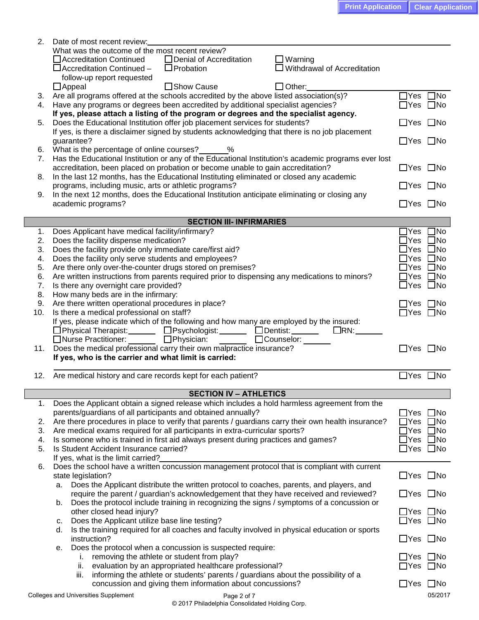| 2.  | Date of most recent review:                                                                                      |                           |              |
|-----|------------------------------------------------------------------------------------------------------------------|---------------------------|--------------|
|     | What was the outcome of the most recent review?                                                                  |                           |              |
|     | □ Denial of Accreditation<br>□ Accreditation Continued<br>$\Box$ Warning                                         |                           |              |
|     | $\square$ Withdrawal of Accreditation<br>$\Box$ Probation<br>□ Accreditation Continued -                         |                           |              |
|     | follow-up report requested                                                                                       |                           |              |
|     | □ Show Cause<br>$\Box$ Appeal<br>$\Box$ Other:                                                                   |                           |              |
|     | 3. Are all programs offered at the schools accredited by the above listed association(s)?                        | $\Box$ Yes                | $\square$ No |
| 4.  | Have any programs or degrees been accredited by additional specialist agencies?                                  | $\Box$ Yes $\Box$ No      |              |
|     | If yes, please attach a listing of the program or degrees and the specialist agency.                             |                           |              |
| 5.  | Does the Educational Institution offer job placement services for students?                                      | $\Box$ Yes $\Box$ No      |              |
|     | If yes, is there a disclaimer signed by students acknowledging that there is no job placement                    |                           |              |
| 6.  | guarantee?<br>What is the percentage of online courses?<br>2%                                                    | $\Box$ Yes $\Box$ No      |              |
| 7.  | Has the Educational Institution or any of the Educational Institution's academic programs ever lost              |                           |              |
|     | accreditation, been placed on probation or become unable to gain accreditation?                                  | $\Box$ Yes $\Box$ No      |              |
| 8.  | In the last 12 months, has the Educational Instituting eliminated or closed any academic                         |                           |              |
|     | programs, including music, arts or athletic programs?                                                            | $\Box$ Yes $\Box$ No      |              |
| 9.  | In the next 12 months, does the Educational Institution anticipate eliminating or closing any                    |                           |              |
|     | academic programs?                                                                                               | $\Box$ Yes $\Box$ No      |              |
|     |                                                                                                                  |                           |              |
|     | <b>SECTION III- INFIRMARIES</b>                                                                                  |                           |              |
| 1.  | Does Applicant have medical facility/infirmary?                                                                  | $\Box$ Yes $\Box$ No      |              |
| 2.  | Does the facility dispense medication?                                                                           |                           | ]Yes □No     |
| 3.  | Does the facility provide only immediate care/first aid?                                                         | $\sqsupset$ Yes $\Box$ No |              |
| 4.  | Does the facility only serve students and employees?                                                             | $\Box$ Yes $\Box$ No      |              |
| 5.  | Are there only over-the-counter drugs stored on premises?                                                        | $\Box$ Yes $\Box$ No      |              |
| 6.  | Are written instructions from parents required prior to dispensing any medications to minors?                    | $\Box$ Yes $\Box$ No      |              |
| 7.  | Is there any overnight care provided?                                                                            | $\Box$ Yes $\Box$ No      |              |
| 8.  | How many beds are in the infirmary:                                                                              |                           |              |
| 9.  | Are there written operational procedures in place?                                                               | $\Box$ Yes $\Box$ No      |              |
| 10. | Is there a medical professional on staff?                                                                        | $\Box$ Yes $\Box$ No      |              |
|     | If yes, please indicate which of the following and how many are employed by the insured:                         |                           |              |
|     |                                                                                                                  |                           |              |
|     | □Physical Therapist: □ □ □Psychologist: □ □ □ Dentist: □<br>$\Box$ RN:                                           |                           |              |
|     | □Nurse Practitioner:<br>□Physician:<br>□Counselor: _____                                                         |                           |              |
|     | 11. Does the medical professional carry their own malpractice insurance?                                         | $\Box$ Yes $\Box$ No      |              |
|     | If yes, who is the carrier and what limit is carried:                                                            |                           |              |
|     |                                                                                                                  |                           |              |
| 12. | Are medical history and care records kept for each patient?                                                      | $\Box$ Yes $\Box$ No      |              |
|     | <b>SECTION IV - ATHLETICS</b>                                                                                    |                           |              |
| 1.  | Does the Applicant obtain a signed release which includes a hold harmless agreement from the                     |                           |              |
|     | parents/guardians of all participants and obtained annually?                                                     | _lYes                     | $\square$ No |
| 2.  | Are there procedures in place to verify that parents / guardians carry their own health insurance?               | ∟lYes                     | $\square$ No |
| 3.  | Are medical exams required for all participants in extra-curricular sports?                                      |                           | ]Yes □No     |
| 4.  | Is someone who is trained in first aid always present during practices and games?                                |                           | ]Yes □No     |
| 5.  | Is Student Accident Insurance carried?                                                                           | $\Box$ Yes $\Box$ No      |              |
|     | If yes, what is the limit carried?                                                                               |                           |              |
| 6.  | Does the school have a written concussion management protocol that is compliant with current                     |                           |              |
|     | state legislation?                                                                                               | $\Box$ Yes $\Box$ No      |              |
|     | Does the Applicant distribute the written protocol to coaches, parents, and players, and<br>а.                   |                           |              |
|     | require the parent / guardian's acknowledgement that they have received and reviewed?                            | $\Box$ Yes $\Box$ No      |              |
|     | Does the protocol include training in recognizing the signs / symptoms of a concussion or<br>b.                  |                           |              |
|     | other closed head injury?                                                                                        | $\Box$ Yes $\Box$ No      |              |
|     | Does the Applicant utilize base line testing?<br>c.                                                              | $\Box$ Yes $\Box$ No      |              |
|     | Is the training required for all coaches and faculty involved in physical education or sports<br>d.              |                           |              |
|     | instruction?                                                                                                     | $\Box$ Yes $\Box$ No      |              |
|     | Does the protocol when a concussion is suspected require:<br>е.                                                  |                           |              |
|     | removing the athlete or student from play?<br>Τ.                                                                 | $\Box$ Yes $\Box$ No      |              |
|     | evaluation by an appropriated healthcare professional?<br>ii.                                                    | $\Box$ Yes $\Box$ No      |              |
|     | informing the athlete or students' parents / guardians about the possibility of a<br>iii.                        |                           |              |
|     | concussion and giving them information about concussions?<br>Colleges and Universities Supplement<br>Page 2 of 7 | $\Box$ Yes $\Box$ No      | 05/2017      |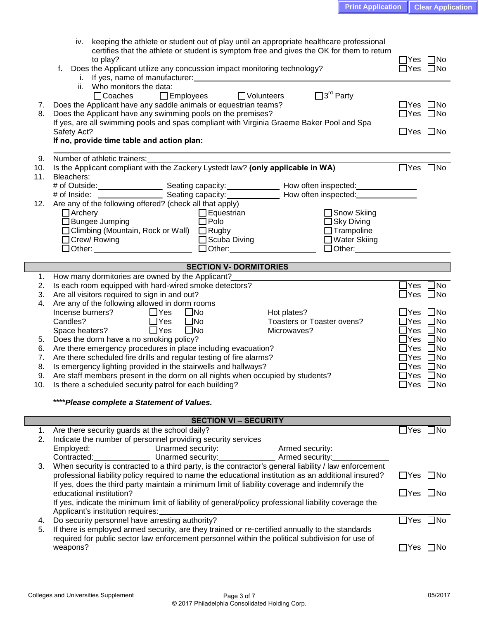| iv. keeping the athlete or student out of play until an appropriate healthcare professional           |                                                                                                                                      |                      |  |  |  |
|-------------------------------------------------------------------------------------------------------|--------------------------------------------------------------------------------------------------------------------------------------|----------------------|--|--|--|
| certifies that the athlete or student is symptom free and gives the OK for them to return             |                                                                                                                                      |                      |  |  |  |
|                                                                                                       | to play?                                                                                                                             |                      |  |  |  |
|                                                                                                       | Does the Applicant utilize any concussion impact monitoring technology?<br>f.                                                        |                      |  |  |  |
|                                                                                                       | Who monitors the data:<br>ii.                                                                                                        |                      |  |  |  |
|                                                                                                       | $\square$ 3 <sup>rd</sup> Party<br>$\Box$ Coaches<br>□ Employees □ Volunteers                                                        |                      |  |  |  |
|                                                                                                       | 7. Does the Applicant have any saddle animals or equestrian teams?                                                                   | $\Box$ Yes $\Box$ No |  |  |  |
| 8.                                                                                                    | Does the Applicant have any swimming pools on the premises?                                                                          | $\Box$ Yes $\Box$ No |  |  |  |
|                                                                                                       | If yes, are all swimming pools and spas compliant with Virginia Graeme Baker Pool and Spa                                            |                      |  |  |  |
|                                                                                                       | Safety Act?                                                                                                                          | $\Box$ Yes $\Box$ No |  |  |  |
|                                                                                                       | If no, provide time table and action plan:                                                                                           |                      |  |  |  |
|                                                                                                       |                                                                                                                                      |                      |  |  |  |
| 9.                                                                                                    | Number of athletic trainers:                                                                                                         |                      |  |  |  |
| 10.                                                                                                   | Is the Applicant compliant with the Zackery Lystedt law? (only applicable in WA)                                                     | $\Box$ Yes $\Box$ No |  |  |  |
| 11.                                                                                                   | Bleachers:                                                                                                                           |                      |  |  |  |
|                                                                                                       |                                                                                                                                      |                      |  |  |  |
|                                                                                                       |                                                                                                                                      |                      |  |  |  |
|                                                                                                       | 12. Are any of the following offered? (check all that apply)                                                                         |                      |  |  |  |
|                                                                                                       | $\Box$ Archery<br>$\Box$ Equestrian<br>□ Snow Skiing                                                                                 |                      |  |  |  |
|                                                                                                       | $\Box$ Polo<br>$\Box$ Bungee Jumping<br>$\Box$ Sky Diving                                                                            |                      |  |  |  |
|                                                                                                       | □ Climbing (Mountain, Rock or Wall) □ Rugby<br>$\Box$ Trampoline                                                                     |                      |  |  |  |
|                                                                                                       | □ Scuba Diving<br>□ Crew/ Rowing<br>□ Water Skiing                                                                                   |                      |  |  |  |
|                                                                                                       | $\Box$ Other: $\Box$                                                                                                                 |                      |  |  |  |
|                                                                                                       |                                                                                                                                      |                      |  |  |  |
|                                                                                                       | <b>SECTION V- DORMITORIES</b><br><u> 1980 - Jan Barat, martin amerikan ba</u><br>1. How many dormitories are owned by the Applicant? |                      |  |  |  |
| 2.                                                                                                    | Is each room equipped with hard-wired smoke detectors?                                                                               | $\Box$ Yes $\Box$ No |  |  |  |
| 3.                                                                                                    | Are all visitors required to sign in and out?                                                                                        | $\Box$ Yes $\Box$ No |  |  |  |
| 4.                                                                                                    | Are any of the following allowed in dorm rooms                                                                                       |                      |  |  |  |
|                                                                                                       | Incense burners? $\Box$ Yes<br>$\square$ No<br>Hot plates?                                                                           | $\Box$ Yes $\Box$ No |  |  |  |
|                                                                                                       | $\Box$ Yes<br>Candles?<br>$\square$ No<br>Toasters or Toaster ovens?                                                                 | $\Box$ Yes $\Box$ No |  |  |  |
|                                                                                                       | $\Box$ Yes<br>$\square$ No<br>Space heaters?<br>Microwaves?                                                                          | $\Box$ Yes $\Box$ No |  |  |  |
| 5.                                                                                                    | Does the dorm have a no smoking policy?                                                                                              | $\Box$ Yes $\Box$ No |  |  |  |
| 6.                                                                                                    | Are there emergency procedures in place including evacuation?                                                                        | $\Box$ Yes $\Box$ No |  |  |  |
| 7.                                                                                                    | Are there scheduled fire drills and regular testing of fire alarms?                                                                  | $\Box$ Yes $\Box$ No |  |  |  |
| 8.                                                                                                    | Is emergency lighting provided in the stairwells and hallways?                                                                       | $\Box$ Yes $\Box$ No |  |  |  |
| Are staff members present in the dorm on all nights when occupied by students?<br>9.                  |                                                                                                                                      |                      |  |  |  |
|                                                                                                       | Is there a scheduled security patrol for each building?<br>10.                                                                       |                      |  |  |  |
|                                                                                                       |                                                                                                                                      |                      |  |  |  |
|                                                                                                       | **** Please complete a Statement of Values.                                                                                          |                      |  |  |  |
|                                                                                                       | <b>SECTION VI - SECURITY</b>                                                                                                         |                      |  |  |  |
|                                                                                                       | 1. Are there security guards at the school daily?                                                                                    | $\Box$ Yes $\Box$ No |  |  |  |
| 2.                                                                                                    | Indicate the number of personnel providing security services                                                                         |                      |  |  |  |
|                                                                                                       | Employed: ___________________ Unarmed security:________________ Armed security:_______________                                       |                      |  |  |  |
| Contracted: Unarmed security: Armed security:                                                         |                                                                                                                                      |                      |  |  |  |
| 3.                                                                                                    | When security is contracted to a third party, is the contractor's general liability / law enforcement                                |                      |  |  |  |
|                                                                                                       | professional liability policy required to name the educational institution as an additional insured?                                 | $\Box$ Yes $\Box$ No |  |  |  |
|                                                                                                       | If yes, does the third party maintain a minimum limit of liability coverage and indemnify the                                        |                      |  |  |  |
|                                                                                                       | educational institution?                                                                                                             | $\Box$ Yes $\Box$ No |  |  |  |
|                                                                                                       | If yes, indicate the minimum limit of liability of general/policy professional liability coverage the                                |                      |  |  |  |
|                                                                                                       | Applicant's institution requires: ___________                                                                                        |                      |  |  |  |
| Do security personnel have arresting authority?<br>4.                                                 |                                                                                                                                      |                      |  |  |  |
| If there is employed armed security, are they trained or re-certified annually to the standards<br>5. |                                                                                                                                      |                      |  |  |  |
| required for public sector law enforcement personnel within the political subdivision for use of      |                                                                                                                                      |                      |  |  |  |
|                                                                                                       | weapons?                                                                                                                             | $\Box$ Yes $\Box$ No |  |  |  |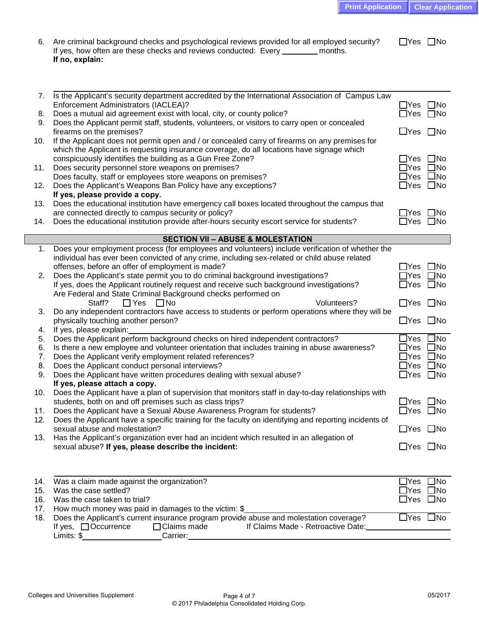| 6. Are criminal background checks and psychological reviews provided for all employed security? | $\Box$ Yes $\Box$ No |
|-------------------------------------------------------------------------------------------------|----------------------|
| If yes, how often are these checks and reviews conducted: Every<br>months.                      |                      |
| If no, explain:                                                                                 |                      |

| 7.  | Is the Applicant's security department accredited by the International Association of Campus Law                                                                                |                       |                         |
|-----|---------------------------------------------------------------------------------------------------------------------------------------------------------------------------------|-----------------------|-------------------------|
|     | Enforcement Administrators (IACLEA)?                                                                                                                                            | $\Box$ Yes $\Box$ No  |                         |
| 8.  | Does a mutual aid agreement exist with local, city, or county police?<br>Does the Applicant permit staff, students, volunteers, or visitors to carry open or concealed          | $\Box$ Yes            | $\square$ No            |
| 9.  | firearms on the premises?                                                                                                                                                       | $\Box$ Yes $\Box$ No  |                         |
| 10. | If the Applicant does not permit open and / or concealed carry of firearms on any premises for                                                                                  |                       |                         |
|     | which the Applicant is requesting insurance coverage, do all locations have signage which                                                                                       |                       |                         |
|     | conspicuously identifies the building as a Gun Free Zone?                                                                                                                       |                       | _Yes □No                |
| 11. | Does security personnel store weapons on premises?                                                                                                                              |                       | $\exists$ Yes $\Box$ No |
|     | Does faculty, staff or employees store weapons on premises?                                                                                                                     |                       | ∃Yes □No                |
| 12. | Does the Applicant's Weapons Ban Policy have any exceptions?                                                                                                                    | $\Box$ Yes $\Box$ No  |                         |
|     | If yes, please provide a copy.                                                                                                                                                  |                       |                         |
| 13. | Does the educational institution have emergency call boxes located throughout the campus that                                                                                   |                       |                         |
|     | are connected directly to campus security or policy?                                                                                                                            |                       | _Yes □No                |
| 14. | Does the educational institution provide after-hours security escort service for students?                                                                                      |                       | $\Box$ Yes $\Box$ No    |
|     |                                                                                                                                                                                 |                       |                         |
|     | <b>SECTION VII - ABUSE &amp; MOLESTATION</b>                                                                                                                                    |                       |                         |
| 1.  | Does your employment process (for employees and volunteers) include verification of whether the                                                                                 |                       |                         |
|     | individual has ever been convicted of any crime, including sex-related or child abuse related<br>offenses, before an offer of employment is made?                               | $\Box$ Yes $\Box$ No  |                         |
| 2.  | Does the Applicant's state permit you to do criminal background investigations?                                                                                                 |                       | $\exists$ Yes $\Box$ No |
|     | If yes, does the Applicant routinely request and receive such background investigations?                                                                                        | $\exists$ Yes         | $\square$ No            |
|     | Are Federal and State Criminal Background checks performed on                                                                                                                   |                       |                         |
|     | Volunteers?<br>Staff?<br>$\Box$ Yes<br>$\Box$ No                                                                                                                                | $\Box$ Yes            | $\square$ No            |
| 3.  | Do any independent contractors have access to students or perform operations where they will be                                                                                 |                       |                         |
|     | physically touching another person?                                                                                                                                             | $\Box$ Yes            | $\square$ No            |
| 4.  | If yes, please explain:                                                                                                                                                         |                       |                         |
| 5.  | Does the Applicant perform background checks on hired independent contractors?                                                                                                  |                       | $\exists$ Yes $\Box$ No |
| 6.  | Is there a new employee and volunteer orientation that includes training in abuse awareness?                                                                                    | $\Box$ Yes $\Box$ No  |                         |
| 7.  | Does the Applicant verify employment related references?                                                                                                                        | $\Box$ Yes $\Box$ No  |                         |
| 8.  | Does the Applicant conduct personal interviews?                                                                                                                                 | $\Box$ Yes $\Box$ No  |                         |
| 9.  | Does the Applicant have written procedures dealing with sexual abuse?                                                                                                           | $\Box$ Yes $\Box$ No  |                         |
|     | If yes, please attach a copy.                                                                                                                                                   |                       |                         |
| 10. | Does the Applicant have a plan of supervision that monitors staff in day-to-day relationships with                                                                              |                       |                         |
|     | students, both on and off premises such as class trips?                                                                                                                         | $\Box$ Yes $\Box$ No  |                         |
| 11. | Does the Applicant have a Sexual Abuse Awareness Program for students?<br>Does the Applicant have a specific training for the faculty on identifying and reporting incidents of | $\Box$ Yes $\Box$ No  |                         |
| 12. | sexual abuse and molestation?                                                                                                                                                   | $\Box$ Yes $\Box$ No  |                         |
|     | 13. Has the Applicant's organization ever had an incident which resulted in an allegation of                                                                                    |                       |                         |
|     | sexual abuse? If yes, please describe the incident:                                                                                                                             | $\Box$ Yes $\Box$ No  |                         |
|     |                                                                                                                                                                                 |                       |                         |
|     |                                                                                                                                                                                 |                       |                         |
|     |                                                                                                                                                                                 |                       |                         |
| 14. | Was a claim made against the organization?                                                                                                                                      | $\mathsf{\Delta}$ Yes | $\square$ No            |
| 15. | Was the case settled?                                                                                                                                                           |                       | $\exists$ Yes $\Box$ No |
| 16. | Was the case taken to trial?                                                                                                                                                    |                       | $\Box$ Yes $\Box$ No    |
| 17. | How much money was paid in damages to the victim: \$                                                                                                                            |                       | $\Box$ Yes $\Box$ No    |
| 18. | Does the Applicant's current insurance program provide abuse and molestation coverage?<br>$\Box$ Claims made<br>If yes, $\Box$ Occurrence<br>If Claims Made - Retroactive Date: |                       |                         |
|     |                                                                                                                                                                                 |                       |                         |

Limits: \$\_\_\_\_\_\_\_\_\_\_\_\_\_\_\_\_\_\_\_\_Carrier:\_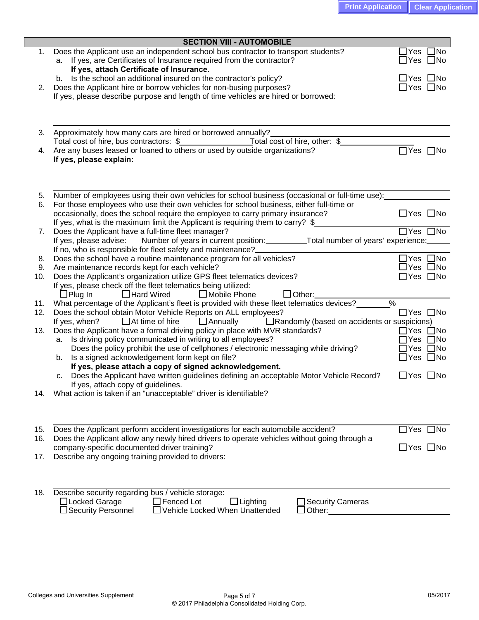|     | <b>SECTION VIII - AUTOMOBILE</b>                                                                                                                                                                            |                                                    |
|-----|-------------------------------------------------------------------------------------------------------------------------------------------------------------------------------------------------------------|----------------------------------------------------|
|     | 1. Does the Applicant use an independent school bus contractor to transport students?<br>a. If yes, are Certificates of Insurance required from the contractor?<br>If yes, attach Certificate of Insurance. | $\Box$ Yes<br>$\square$ No<br>$\Box$ Yes $\Box$ No |
|     | b. Is the school an additional insured on the contractor's policy?                                                                                                                                          | $\Box$ Yes $\Box$ No                               |
| 2.  | Does the Applicant hire or borrow vehicles for non-busing purposes?                                                                                                                                         | $\Box$ Yes $\Box$ No                               |
|     | If yes, please describe purpose and length of time vehicles are hired or borrowed:                                                                                                                          |                                                    |
|     |                                                                                                                                                                                                             |                                                    |
| 3.  | Approximately how many cars are hired or borrowed annually?                                                                                                                                                 |                                                    |
|     |                                                                                                                                                                                                             |                                                    |
| 4.  | Are any buses leased or loaned to others or used by outside organizations?                                                                                                                                  | □Yes □No                                           |
|     | If yes, please explain:                                                                                                                                                                                     |                                                    |
| 5.  | Number of employees using their own vehicles for school business (occasional or full-time use):                                                                                                             |                                                    |
| 6.  | For those employees who use their own vehicles for school business, either full-time or                                                                                                                     |                                                    |
|     | occasionally, does the school require the employee to carry primary insurance?                                                                                                                              | $\Box$ Yes $\Box$ No                               |
|     | If yes, what is the maximum limit the Applicant is requiring them to carry? \$                                                                                                                              |                                                    |
| 7.  | Does the Applicant have a full-time fleet manager?                                                                                                                                                          | $\overline{\Box}$ Yes $\Box$ No                    |
|     | If yes, please advise: Number of years in current position: _____________Total number of years' experience:<br>If no, who is responsible for fleet safety and maintenance?___                               |                                                    |
| 8.  | Does the school have a routine maintenance program for all vehicles?                                                                                                                                        | $\Box$ Yes $\Box$ No                               |
| 9.  | Are maintenance records kept for each vehicle?                                                                                                                                                              | $\Box$ Yes $\Box$ No                               |
| 10. | Does the Applicant's organization utilize GPS fleet telematics devices?                                                                                                                                     | $\Box$ Yes $\Box$ No                               |
|     | If yes, please check off the fleet telematics being utilized:                                                                                                                                               |                                                    |
|     | $\Box$ Plug In<br>□ Hard Wired<br>□ Mobile Phone<br>$\Box$ Other:                                                                                                                                           |                                                    |
| 11. | What percentage of the Applicant's fleet is provided with these fleet telematics devices?                                                                                                                   | $\%$                                               |
| 12. | Does the school obtain Motor Vehicle Reports on ALL employees?<br>$\Box$ At time of hire<br>Annually<br>□ Randomly (based on accidents or suspicions)<br>If yes, when?                                      | $\Box$ Yes $\Box$ No                               |
| 13. | Does the Applicant have a formal driving policy in place with MVR standards?                                                                                                                                | $\Box$ Yes<br>$\square$ No                         |
|     | a. Is driving policy communicated in writing to all employees?                                                                                                                                              | $\Box$ No<br>Yes                                   |
|     | Does the policy prohibit the use of cellphones / electronic messaging while driving?                                                                                                                        | Yes $\Box$ No                                      |
|     | Is a signed acknowledgement form kept on file?<br>b.                                                                                                                                                        | $\Box$ Yes $\Box$ No                               |
|     | If yes, please attach a copy of signed acknowledgement.                                                                                                                                                     |                                                    |
|     | Does the Applicant have written guidelines defining an acceptable Motor Vehicle Record?<br>с.                                                                                                               | $\Box$ Yes $\Box$ No                               |
|     | If yes, attach copy of guidelines.<br>What action is taken if an "unacceptable" driver is identifiable?                                                                                                     |                                                    |
| 14. |                                                                                                                                                                                                             |                                                    |
|     |                                                                                                                                                                                                             |                                                    |
|     |                                                                                                                                                                                                             |                                                    |
| 15. | Does the Applicant perform accident investigations for each automobile accident?                                                                                                                            | $\Box$ Yes $\Box$ No                               |
| 16. | Does the Applicant allow any newly hired drivers to operate vehicles without going through a<br>company-specific documented driver training?                                                                | $\Box$ Yes $\Box$ No                               |
| 17. | Describe any ongoing training provided to drivers:                                                                                                                                                          |                                                    |
|     |                                                                                                                                                                                                             |                                                    |
|     |                                                                                                                                                                                                             |                                                    |
| 18. | Describe security regarding bus / vehicle storage:                                                                                                                                                          |                                                    |
|     | □Locked Garage<br>$\Box$ Fenced Lot<br>$\Box$ Lighting<br>Security Cameras<br>□Security Personnel<br>□ Vehicle Locked When Unattended                                                                       |                                                    |
|     | ]Other: ___________________________________                                                                                                                                                                 |                                                    |
|     |                                                                                                                                                                                                             |                                                    |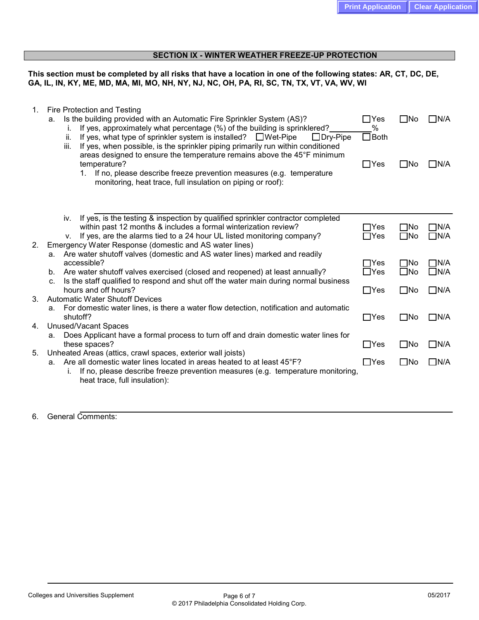### **SECTION IX - WINTER WEATHER FREEZE-UP PROTECTION**

**This section must be completed by all risks that have a location in one of the following states: AR, CT, DC, DE, GA, IL, IN, KY, ME, MD, MA, MI, MO, NH, NY, NJ, NC, OH, PA, RI, SC, TN, TX, VT, VA, WV, WI**

| 1. | Fire Protection and Testing<br>Is the building provided with an Automatic Fire Sprinkler System (AS)?<br>a.<br>If yes, approximately what percentage (%) of the building is sprinklered?<br>i.<br>If yes, what type of sprinkler system is installed? $\Box$ Wet-Pipe<br>ii.<br>$\Box$ Dry-Pipe<br>If yes, when possible, is the sprinkler piping primarily run within conditioned<br>iii.<br>areas designed to ensure the temperature remains above the 45°F minimum<br>temperature?<br>If no, please describe freeze prevention measures (e.g. temperature<br>$1_{-}$<br>monitoring, heat trace, full insulation on piping or roof): | $\Box$ Yes<br>%<br>$\Box$ Both<br>$\Box$ Yes | l INo<br>$\square$ No        | ∏N/A<br>$\Box N/A$          |
|----|----------------------------------------------------------------------------------------------------------------------------------------------------------------------------------------------------------------------------------------------------------------------------------------------------------------------------------------------------------------------------------------------------------------------------------------------------------------------------------------------------------------------------------------------------------------------------------------------------------------------------------------|----------------------------------------------|------------------------------|-----------------------------|
|    | If yes, is the testing & inspection by qualified sprinkler contractor completed<br>iv.                                                                                                                                                                                                                                                                                                                                                                                                                                                                                                                                                 |                                              |                              |                             |
|    | within past 12 months & includes a formal winterization review?<br>If yes, are the alarms tied to a 24 hour UL listed monitoring company?<br>V.                                                                                                                                                                                                                                                                                                                                                                                                                                                                                        | $\Box$ Yes<br>$\Box$ Yes                     | $\square$ No<br>$\square$ No | $\Box$ N/A<br>$\Box$ N/A    |
| 2. | Emergency Water Response (domestic and AS water lines)<br>a. Are water shutoff valves (domestic and AS water lines) marked and readily                                                                                                                                                                                                                                                                                                                                                                                                                                                                                                 |                                              |                              |                             |
|    | accessible?<br>Are water shutoff valves exercised (closed and reopened) at least annually?<br>b.                                                                                                                                                                                                                                                                                                                                                                                                                                                                                                                                       | $\Box$ Yes<br>$\Box$ Yes                     | $\square$ No<br>$\square$ No | $\Box$ N/A<br>$\square$ N/A |
|    | Is the staff qualified to respond and shut off the water main during normal business<br>C.<br>hours and off hours?                                                                                                                                                                                                                                                                                                                                                                                                                                                                                                                     |                                              |                              | $\Box$ N/A                  |
| 3. | <b>Automatic Water Shutoff Devices</b>                                                                                                                                                                                                                                                                                                                                                                                                                                                                                                                                                                                                 | $\Box$ Yes                                   | $\square$ No                 |                             |
| 4. | For domestic water lines, is there a water flow detection, notification and automatic<br>а.<br>shutoff?<br>Unused/Vacant Spaces                                                                                                                                                                                                                                                                                                                                                                                                                                                                                                        | $\Box$ Yes                                   | $\square$ No                 | ∏N/A                        |
|    | Does Applicant have a formal process to turn off and drain domestic water lines for<br>a.<br>these spaces?                                                                                                                                                                                                                                                                                                                                                                                                                                                                                                                             | $\Box$ Yes                                   | $\square$ No                 | $\square$ N/A               |
| 5. | Unheated Areas (attics, crawl spaces, exterior wall joists)<br>Are all domestic water lines located in areas heated to at least 45°F?<br>a.<br>If no, please describe freeze prevention measures (e.g. temperature monitoring,<br>İ.<br>heat trace, full insulation):                                                                                                                                                                                                                                                                                                                                                                  | $\Box$ Yes                                   | $\square$ No                 | $\Box$ N/A                  |
|    |                                                                                                                                                                                                                                                                                                                                                                                                                                                                                                                                                                                                                                        |                                              |                              |                             |

## 6. General Comments: